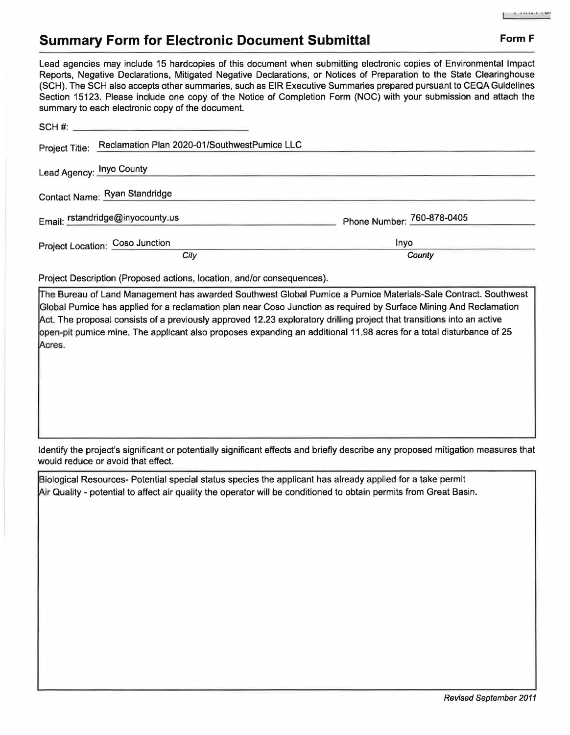## **Summary Form for Electronic Document Submittal Form F Form F**

Lead agencies may include 15 hardcopies of this document when submitting electronic copies of Environmental Impact Reports, Negative Declarations, Mitigated Negative Declarations, or Notices of Preparation to the State Clearinghouse (SCH). The SCH also accepts other summaries, such as EIR Executive Summaries prepared pursuant to CEQA Guidelines Section 15123. Please include one copy of the Notice of Completion Form (NOC) with your submission and attach the summary to each electronic copy of the document.

| <u>secondary to execute and and the earth of the about the time</u>    |                            |
|------------------------------------------------------------------------|----------------------------|
|                                                                        |                            |
| Reclamation Plan 2020-01/SouthwestPumice LLC<br>Project Title:         |                            |
| Lead Agency: Inyo County Management of the Agency of the Agency: 1999. |                            |
| Contact Name: Ryan Standridge                                          |                            |
| Email: rstandridge@inyocounty.us                                       | Phone Number: 760-878-0405 |
| Project Location: Coso Junction                                        | Inyo                       |
| City                                                                   | County                     |

Project Description (Proposed actions, location, and/or consequences).

The Bureau of Land Management has awarded Southwest Global Pumice a Pumice Materials-Sale Contract. Southwest Global Pumice has applied for a reclamation plan near Caso Junction as required by Surface Mining And Reclamation Act. The proposal consists of a previously approved 12.23 exploratory drilling project that transitions into an active open-pit pumice mine. The applicant also proposes expanding an additional 11.98 acres for a total disturbance of 25 Acres.

Identify the project's significant or potentially significant effects and briefly describe any proposed mitigation measures that would reduce or avoid that effect.

Biological Resources- Potential special status species the applicant has already applied for a take permit ~ir Quality - potential to affect air quality the operator will be conditioned to obtain permits from Great Basin.